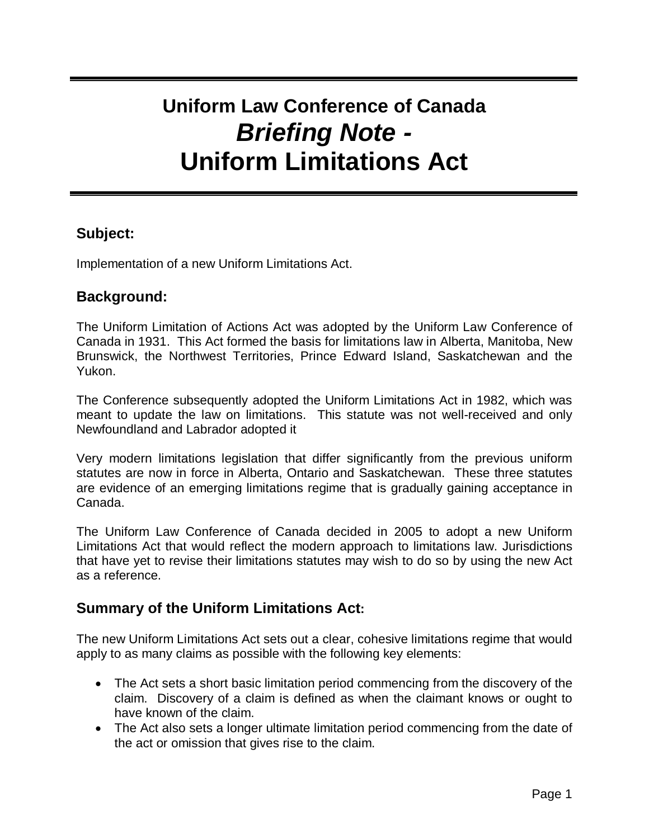# **Uniform Law Conference of Canada Briefing Note - Uniform Limitations Act**

### **Subject:**

Implementation of a new Uniform Limitations Act.

### **Background:**

The Uniform Limitation of Actions Act was adopted by the Uniform Law Conference of Canada in 1931. This Act formed the basis for limitations law in Alberta, Manitoba, New Brunswick, the Northwest Territories, Prince Edward Island, Saskatchewan and the Yukon.

The Conference subsequently adopted the Uniform Limitations Act in 1982, which was meant to update the law on limitations. This statute was not well-received and only Newfoundland and Labrador adopted it

Very modern limitations legislation that differ significantly from the previous uniform statutes are now in force in Alberta, Ontario and Saskatchewan. These three statutes are evidence of an emerging limitations regime that is gradually gaining acceptance in Canada.

The Uniform Law Conference of Canada decided in 2005 to adopt a new Uniform Limitations Act that would reflect the modern approach to limitations law. Jurisdictions that have yet to revise their limitations statutes may wish to do so by using the new Act as a reference.

## **Summary of the Uniform Limitations Act:**

The new Uniform Limitations Act sets out a clear, cohesive limitations regime that would apply to as many claims as possible with the following key elements:

- The Act sets a short basic limitation period commencing from the discovery of the claim. Discovery of a claim is defined as when the claimant knows or ought to have known of the claim.
- The Act also sets a longer ultimate limitation period commencing from the date of the act or omission that gives rise to the claim.